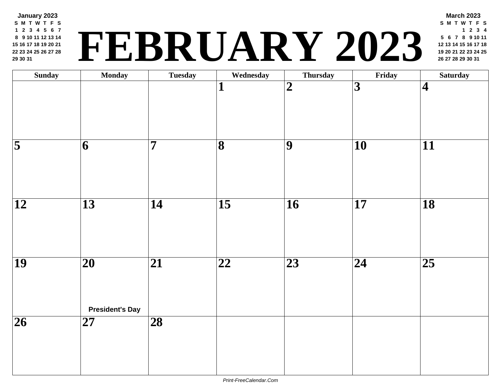# **19 <b>2023 2023 2023 29 29 29 29 29 29 2023 2021 2021 28 29 2021 2021 2021 2021 2021 2021 2021 2021 2021 2021 2021 2021 2021 2021 2021 2021 2021 2021 2021 20**

| Sunday                    | Monday                                             | <b>Tuesday</b>  | Wednesday               | Thursday                 | Friday                  | <b>Saturday</b>   |
|---------------------------|----------------------------------------------------|-----------------|-------------------------|--------------------------|-------------------------|-------------------|
|                           |                                                    |                 | $\mathbf 1$             | $\overline{2}$           | $\overline{\mathbf{3}}$ | $\vert\mathbf{4}$ |
| $\overline{\overline{5}}$ | $\overline{6}$                                     | $\overline{7}$  | $\overline{\mathbf{8}}$ | $\overline{9}$           | $\overline{10}$         | $\overline{11}$   |
| $\overline{12}$           | $\overline{\mathbf{13}}$                           | $\overline{14}$ | $\overline{15}$         | $\overline{\mathbf{16}}$ | $\overline{17}$         | $\overline{18}$   |
| $\overline{19}$           | $\overline{\mathbf{20}}$<br><b>President's Day</b> | $\overline{21}$ | $\overline{22}$         | $\overline{23}$          | $\overline{24}$         | $\overline{25}$   |
| $\overline{26}$           | $\overline{27}$                                    | $\overline{28}$ |                         |                          |                         |                   |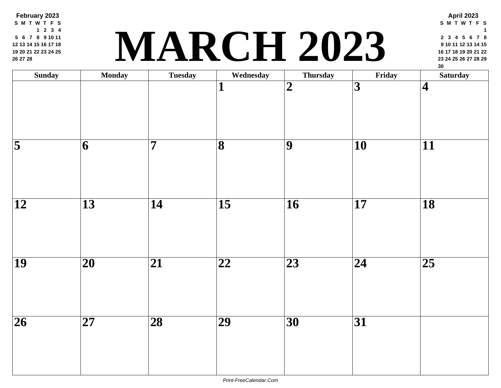**February 2023 S M T W T F S 2 3 4 6 7 8 9 10 11 13 14 15 16 17 18 20 21 22 23 24 25 27 28**

# **2 23 4 5 6 7 8**<br>**211112131415**<br>**2324 25 26 27 28 29**

| <b>Sunday</b>            | <b>Monday</b>           | <b>Tuesday</b>  | Wednesday               | Thursday                 | Friday                  | <b>Saturday</b>          |
|--------------------------|-------------------------|-----------------|-------------------------|--------------------------|-------------------------|--------------------------|
|                          |                         |                 | $\overline{\mathbf{1}}$ | $\overline{\mathbf{2}}$  | $\overline{\mathbf{3}}$ | $\overline{\mathcal{A}}$ |
| $\overline{\mathbf{5}}$  | $\overline{\mathbf{6}}$ | $\overline{7}$  | $\overline{\mathbf{8}}$ | $\overline{9}$           | $\overline{10}$         | $\overline{11}$          |
| $\overline{\mathbf{12}}$ | $\overline{13}$         | $\overline{14}$ | $\overline{15}$         | $\overline{\mathbf{16}}$ | $\overline{17}$         | $\overline{18}$          |
| $\overline{19}$          | $\overline{20}$         | $\overline{21}$ | $\overline{22}$         | $\overline{23}$          | $\overline{24}$         | $\overline{25}$          |
| $\overline{26}$          | $\overline{27}$         | $\overline{28}$ | $\overline{29}$         | $\overline{30}$          | $\overline{31}$         |                          |
|                          |                         |                 |                         |                          |                         |                          |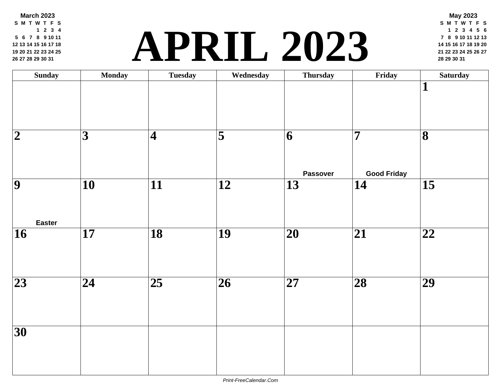**March 2023 S M T W T F S 2 3 4 6 7 8 9 10 11 13 14 15 16 17 18 20 21 22 23 24 25 27 28 29 30 31**

# **<sup>21</sup> <sup>22</sup> <sup>23</sup> <sup>24</sup> <sup>25</sup> <sup>26</sup> <sup>27</sup> APRIL 2023 <sup>28</sup> <sup>29</sup> <sup>30</sup> <sup>31</sup>**

**May 2023 S M T W T F S 2 3 4 5 6 8 9 10 11 12 13 15 16 17 18 19 20**

| <b>Sunday</b>                   | <b>Monday</b>   | <b>Tuesday</b>  | Wednesday               | Thursday                          | Friday                               | <b>Saturday</b>          |
|---------------------------------|-----------------|-----------------|-------------------------|-----------------------------------|--------------------------------------|--------------------------|
|                                 |                 |                 |                         |                                   |                                      | $\mathbf{1}$             |
| $\overline{\mathbf{2}}$         | $\overline{3}$  | $\overline{4}$  | $\overline{\mathbf{5}}$ | $\overline{6}$<br><b>Passover</b> | $\overline{7}$<br><b>Good Friday</b> | $\overline{\mathbf{8}}$  |
| $\overline{9}$<br><b>Easter</b> | $\overline{10}$ | $\overline{11}$ | $\overline{12}$         | $\overline{13}$                   | $\overline{14}$                      | $\overline{15}$          |
| $\overline{\mathbf{16}}$        | $\overline{17}$ | $\overline{18}$ | $\overline{19}$         | $\overline{\mathbf{20}}$          | $\overline{21}$                      | $\overline{\mathbf{22}}$ |
| $\overline{23}$                 | $\overline{24}$ | $\overline{25}$ | $\overline{26}$         | $\overline{\mathbf{27}}$          | $\overline{28}$                      | $\overline{29}$          |
| $\overline{30}$                 |                 |                 |                         |                                   |                                      |                          |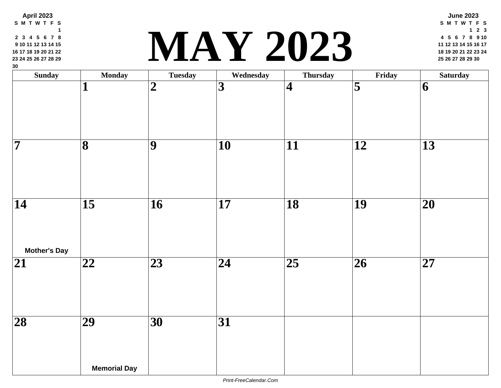### **<sup>18</sup> <sup>19</sup> <sup>20</sup> <sup>21</sup> <sup>22</sup> <sup>23</sup> <sup>24</sup> MAY 2023 <sup>25</sup> <sup>26</sup> <sup>27</sup> <sup>28</sup> <sup>29</sup> <sup>30</sup>**

**June 2023 S M T W T F S 2 3 5 6 7 8 9 10 12 13 14 15 16 17**

| <b>Sunday</b>                          | Monday                                 | <b>Tuesday</b>  | Wednesday               | Thursday                 | Friday                  | <b>Saturday</b>          |
|----------------------------------------|----------------------------------------|-----------------|-------------------------|--------------------------|-------------------------|--------------------------|
|                                        | $\mathbf{1}$                           | $\overline{2}$  | $\overline{\mathbf{3}}$ | $\overline{\mathcal{A}}$ | $\overline{\mathbf{5}}$ | $\overline{\mathbf{6}}$  |
| $\overline{\mathbf{7}}$                | $\overline{\mathbf{8}}$                | $\overline{9}$  | $\overline{10}$         | $\overline{11}$          | $\overline{12}$         | $\overline{13}$          |
| $\overline{14}$                        | $\overline{15}$                        | $\overline{16}$ | $\overline{17}$         | $\overline{18}$          | $\overline{19}$         | $\overline{\mathbf{20}}$ |
| <b>Mother's Day</b><br>$\overline{21}$ | $\overline{\mathbf{22}}$               | $\overline{23}$ | $\overline{24}$         | $\overline{25}$          | $\overline{26}$         | $\overline{27}$          |
| $\overline{28}$                        | $\overline{29}$<br><b>Memorial Day</b> | $\overline{30}$ | $\overline{31}$         |                          |                         |                          |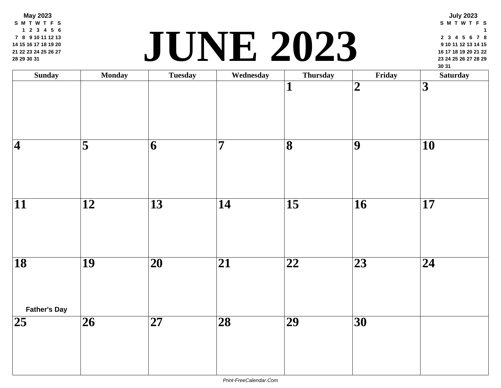**May 2023 S M T W T F S 2 3 4 5 6 8 9 10 11 12 13 15 16 17 18 19 20 22 23 24 25 26 27 29 30 31**

# **<sup>23</sup> <sup>24</sup> <sup>25</sup> <sup>26</sup> <sup>27</sup> <sup>28</sup> <sup>29</sup> JUNE 2023**

| <b>Sunday</b>                          | Monday                  | <b>Tuesday</b>          | Wednesday       | Thursday                | Friday          | <b>Saturday</b>                     |
|----------------------------------------|-------------------------|-------------------------|-----------------|-------------------------|-----------------|-------------------------------------|
|                                        |                         |                         |                 | $\overline{\mathbf{1}}$ | $\overline{2}$  | $\overline{\mathbf{3}}$             |
| $\overline{\mathbf{4}}$                | $\overline{\mathbf{5}}$ | $\overline{\mathbf{6}}$ | 7               | $\overline{\mathbf{8}}$ | $\overline{9}$  | $\overline{10}$                     |
| $\overline{11}$                        | $\overline{12}$         | $\overline{13}$         | $\overline{14}$ | $\overline{15}$         | $\overline{16}$ | $\overline{17}$                     |
| $\overline{18}$<br><b>Father's Day</b> | $\overline{19}$         | $\overline{20}$         | $\overline{21}$ | $\overline{22}$         | $\overline{23}$ | $\overline{\overline{\mathbf{24}}}$ |
| $\overline{25}$                        | $\overline{26}$         | $\overline{27}$         | $\overline{28}$ | $\overline{29}$         | $\overline{30}$ |                                     |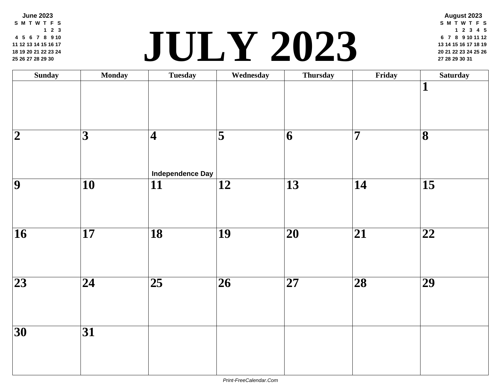**June 2023 S M T W T F S 2 3 5 6 7 8 9 10 12 13 14 15 16 17 19 20 21 22 23 24 26 27 28 29 30**

## **21 2 23 24 25 26 27 28 29 24 25 26 27 28 29 27 28 29 29 29 29 20 20 27 28 29 29 30 31**

**August 2023 S M T W T F S 2 3 4 5 7 8 9 10 11 12 14 15 16 17 18 19**

| Sunday          | <b>Monday</b>           | <b>Tuesday</b>                     | Wednesday               | <b>Thursday</b>          | Friday                   | <b>Saturday</b>              |
|-----------------|-------------------------|------------------------------------|-------------------------|--------------------------|--------------------------|------------------------------|
|                 |                         |                                    |                         |                          |                          | $\mathbf{1}$                 |
| $\overline{2}$  | $\overline{\mathbf{3}}$ | $\overline{4}$<br>Independence Day | $\overline{\mathbf{5}}$ | $\overline{6}$           | $\overline{\mathbf{7}}$  | $\overline{\mathbf{8}}$      |
| $\overline{9}$  | $\overline{10}$         | $\overline{11}$                    | $\overline{12}$         | $\overline{13}$          | $\overline{14}$          | $\overline{15}$              |
| $\overline{16}$ | $\overline{17}$         | $\overline{18}$                    | $\overline{19}$         | $\overline{\mathbf{20}}$ | $\overline{\mathbf{21}}$ | $\overline{\boldsymbol{22}}$ |
| $\overline{23}$ | $\overline{24}$         | $\overline{25}$                    | $\overline{26}$         | $\overline{27}$          | $\overline{\bf 28}$      | $\overline{29}$              |
| $\overline{30}$ | $\overline{31}$         |                                    |                         |                          |                          |                              |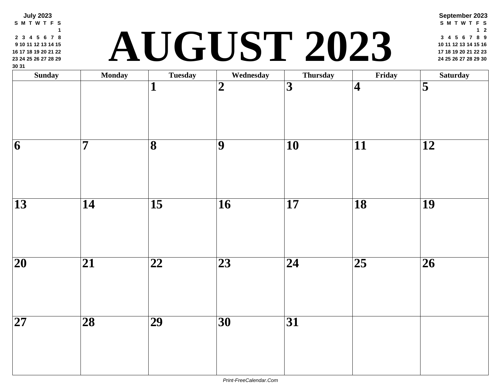### **July 2023**

**S M T W T F S**

 **3 4 5 6 7 8**

 **10 11 12 13 14 15 17 18 19 20 21 22 24 25 26 27 28 29**

**31**

### **<sup>17</sup> <sup>18</sup> <sup>19</sup> <sup>20</sup> <sup>21</sup> <sup>22</sup> <sup>23</sup> AUGUST 2023 <sup>24</sup> <sup>25</sup> <sup>26</sup> <sup>27</sup> <sup>28</sup> <sup>29</sup> <sup>30</sup>**

**September 2023 S M T W T F S 2 4 5 6 7 8 9 11 12 13 14 15 16**

| <b>Sunday</b>            | Monday                  | <b>Tuesday</b>               | Wednesday       | Thursday        | Friday              | <b>Saturday</b>     |
|--------------------------|-------------------------|------------------------------|-----------------|-----------------|---------------------|---------------------|
|                          |                         | $\mathbf{1}$                 | $\overline{2}$  | $\overline{3}$  | $\overline{\bf{4}}$ | $\overline{\bf{5}}$ |
| $\overline{6}$           | $\overline{\mathbf{7}}$ | $\overline{\mathbf{8}}$      | $\overline{9}$  | $\overline{10}$ | $\overline{11}$     | $\overline{12}$     |
| $\overline{13}$          | $\overline{14}$         | $\overline{15}$              | $\overline{16}$ | $\overline{17}$ | $\overline{18}$     | $\overline{19}$     |
| $\overline{20}$          | $\overline{21}$         | $\overline{\boldsymbol{22}}$ | $\overline{23}$ | $\overline{24}$ | $\overline{25}$     | $\overline{26}$     |
| $\overline{\mathbf{27}}$ | $\overline{28}$         | $\overline{29}$              | $\overline{30}$ | $\overline{31}$ |                     |                     |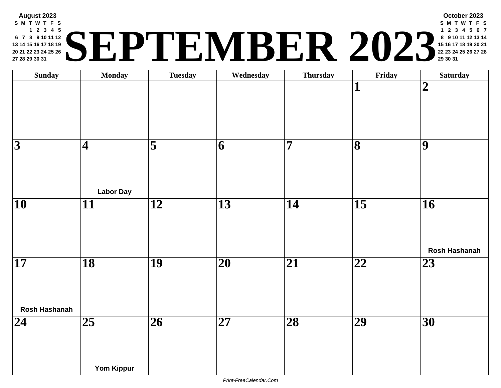### **August 2023 S M T W T F S 2 3 4 5 7 8 9 10 11 12 14 15 16 17 18 19 21 22 23 24 25 26 28 29 30 31 October 2023 S M T W T F S 2 3 4 5 6 7 9 10 11 12 13 14 16 17 18 19 20 21 24 2 23 24 26 24 26 24 26 24 26 24 26 24 26 24 26 27 28 2021 29 2021 2021 2021 2021**

| <b>Sunday</b>            | <b>Monday</b>          | <b>Tuesday</b>      | Wednesday               | <b>Thursday</b>         | Friday                  | <b>Saturday</b>         |
|--------------------------|------------------------|---------------------|-------------------------|-------------------------|-------------------------|-------------------------|
|                          |                        |                     |                         |                         | $\mathbf I$             | $\overline{\mathbf{2}}$ |
|                          |                        |                     |                         |                         |                         |                         |
|                          |                        |                     |                         |                         |                         |                         |
| $\overline{\mathbf{3}}$  | $\vert\mathbf{4}\vert$ | $\overline{\bf{5}}$ | $\overline{\mathbf{6}}$ | $\overline{\mathbf{7}}$ | $\overline{\mathbf{8}}$ | $\overline{9}$          |
|                          |                        |                     |                         |                         |                         |                         |
|                          | <b>Labor Day</b>       |                     |                         |                         |                         |                         |
| $\overline{10}$          | $\overline{11}$        | $\overline{12}$     | $\overline{13}$         | $\overline{14}$         | $\overline{15}$         | $\overline{16}$         |
|                          |                        |                     |                         |                         |                         |                         |
|                          |                        |                     |                         |                         |                         | Rosh Hashanah           |
| $\overline{\mathbf{17}}$ | $\overline{18}$        | $\overline{19}$     | $\overline{20}$         | $\overline{21}$         | $\overline{22}$         | 23                      |
|                          |                        |                     |                         |                         |                         |                         |
| Rosh Hashanah            |                        |                     |                         |                         |                         |                         |
| $\overline{24}$          | $\overline{25}$        | $\overline{26}$     | $\overline{27}$         | $\overline{28}$         | $\overline{29}$         | $\overline{30}$         |
|                          |                        |                     |                         |                         |                         |                         |
|                          | <b>Yom Kippur</b>      |                     |                         |                         |                         |                         |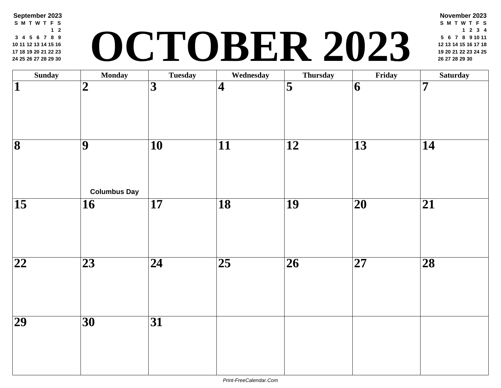**September 2023**

**S M T W T F S**

 **2 4 5 6 7 8 9 11 12 13 14 15 16 18 19 20 21 22 23**

**25 26 27 28 29 30**

# **<sup>19</sup> <sup>20</sup> <sup>21</sup> <sup>22</sup> <sup>23</sup> <sup>24</sup> <sup>25</sup> OCTOBER 2023 <sup>26</sup> <sup>27</sup> <sup>28</sup> <sup>29</sup> <sup>30</sup>**

| <b>Sunday</b>           | <b>Monday</b>                         | <b>Tuesday</b>          | Wednesday                 | Thursday                | Friday                   | <b>Saturday</b> |
|-------------------------|---------------------------------------|-------------------------|---------------------------|-------------------------|--------------------------|-----------------|
| $\overline{\mathbf{1}}$ | $\overline{2}$                        | $\overline{\mathbf{3}}$ | $\overline{\overline{4}}$ | $\overline{\mathbf{5}}$ | 6                        | $\overline{7}$  |
| $\overline{\mathbf{8}}$ | $\overline{9}$<br><b>Columbus Day</b> | $\overline{10}$         | $\overline{11}$           | $\overline{12}$         | $\overline{13}$          | $\overline{14}$ |
| $\overline{15}$         | $\overline{16}$                       | $\overline{17}$         | $\overline{18}$           | $\overline{19}$         | $\overline{\mathbf{20}}$ | $\overline{21}$ |
| $\overline{22}$         | $\overline{23}$                       | $\overline{24}$         | $\overline{25}$           | $\overline{26}$         | $\overline{27}$          | $\overline{28}$ |
| $\overline{29}$         | $\overline{30}$                       | $\overline{31}$         |                           |                         |                          |                 |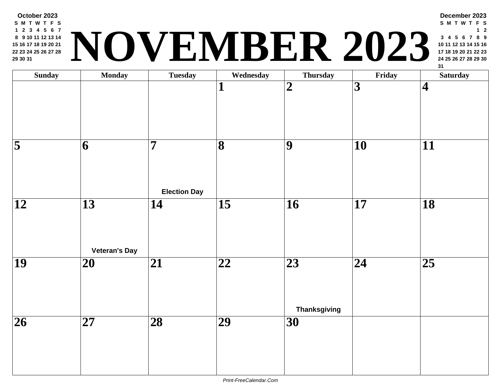### Print-FreeCalendar.Com

|                         |                                         |                                                |                          |                                        |                         | 31                      |
|-------------------------|-----------------------------------------|------------------------------------------------|--------------------------|----------------------------------------|-------------------------|-------------------------|
| <b>Sunday</b>           | <b>Monday</b>                           | <b>Tuesday</b>                                 | Wednesday                | Thursday                               | Friday                  | <b>Saturday</b>         |
|                         |                                         |                                                | $\mathbf{1}$             | $\overline{2}$                         | $\overline{\mathbf{3}}$ | $\overline{\mathbf{4}}$ |
| $\overline{\mathbf{5}}$ | $\overline{6}$                          | $\overline{\mathbf{7}}$<br><b>Election Day</b> | $\overline{\mathbf{8}}$  | $\overline{9}$                         | $\overline{10}$         | $\overline{11}$         |
| $\overline{12}$         | $\overline{13}$<br><b>Veteran's Day</b> | $\overline{14}$                                | $\overline{15}$          | $\overline{16}$                        | $\overline{17}$         | $\overline{18}$         |
| $\overline{19}$         | $\overline{20}$                         | $\overline{21}$                                | $\overline{\mathbf{22}}$ | $\overline{23}$<br><b>Thanksgiving</b> | $\overline{24}$         | $\overline{25}$         |
| $\overline{26}$         | $\overline{27}$                         | $\overline{28}$                                | $\overline{29}$          | $\overline{30}$                        |                         |                         |

### **October 2023 S M T W T F S 2 3 4 5 6 7 9 10 11 12 13 14 16 17 18 19 20 21 23 24 25 26 27 28**

 **30 31 2023 2425 2425 2425 223 2425 223 223 <br>2425 225 225 22 23 30** 

**December 2023 S M T W T F S**

 **4 5 6 7 8 9 11 12 13 14 15 16 18 19 20 21 22 23**

**2**